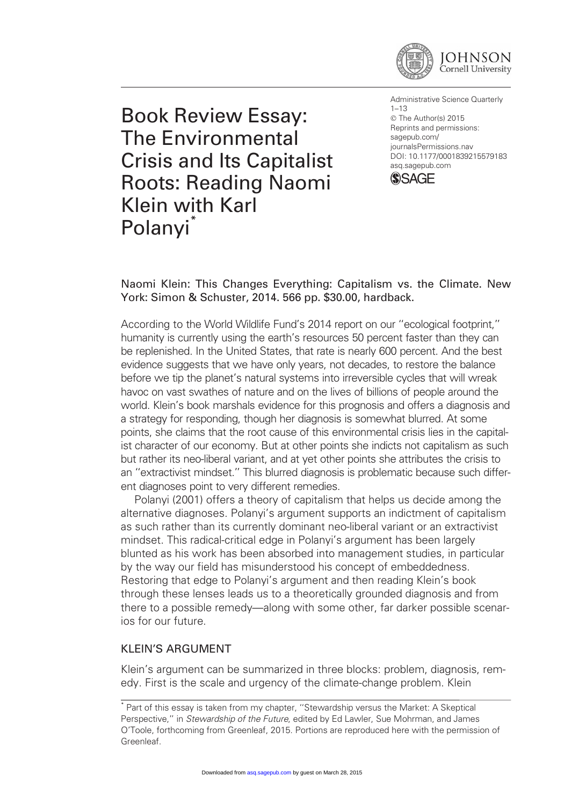

Book Review Essay: The Environmental Crisis and Its Capitalist Roots: Reading Naomi Klein with Karl Polanvi<sup>\*</sup>

Administrative Science Quarterly 1–13 © The Author(s) 2015 Reprints and permissions: sagepub.com/ journalsPermissions.nav DOI: 10.1177/0001839215579183 asq.sagepub.com



Naomi Klein: This Changes Everything: Capitalism vs. the Climate. New York: Simon & Schuster, 2014. 566 pp. \$30.00, hardback.

According to the World Wildlife Fund's 2014 report on our ''ecological footprint,'' humanity is currently using the earth's resources 50 percent faster than they can be replenished. In the United States, that rate is nearly 600 percent. And the best evidence suggests that we have only years, not decades, to restore the balance before we tip the planet's natural systems into irreversible cycles that will wreak havoc on vast swathes of nature and on the lives of billions of people around the world. Klein's book marshals evidence for this prognosis and offers a diagnosis and a strategy for responding, though her diagnosis is somewhat blurred. At some points, she claims that the root cause of this environmental crisis lies in the capitalist character of our economy. But at other points she indicts not capitalism as such but rather its neo-liberal variant, and at yet other points she attributes the crisis to an ''extractivist mindset.'' This blurred diagnosis is problematic because such different diagnoses point to very different remedies.

Polanyi (2001) offers a theory of capitalism that helps us decide among the alternative diagnoses. Polanyi's argument supports an indictment of capitalism as such rather than its currently dominant neo-liberal variant or an extractivist mindset. This radical-critical edge in Polanyi's argument has been largely blunted as his work has been absorbed into management studies, in particular by the way our field has misunderstood his concept of embeddedness. Restoring that edge to Polanyi's argument and then reading Klein's book through these lenses leads us to a theoretically grounded diagnosis and from there to a possible remedy—along with some other, far darker possible scenarios for our future.

# KLEIN'S ARGUMENT

Klein's argument can be summarized in three blocks: problem, diagnosis, remedy. First is the scale and urgency of the climate-change problem. Klein

<sup>\*</sup> Part of this essay is taken from my chapter, ''Stewardship versus the Market: A Skeptical Perspective," in Stewardship of the Future, edited by Ed Lawler, Sue Mohrman, and James O'Toole, forthcoming from Greenleaf, 2015. Portions are reproduced here with the permission of Greenleaf.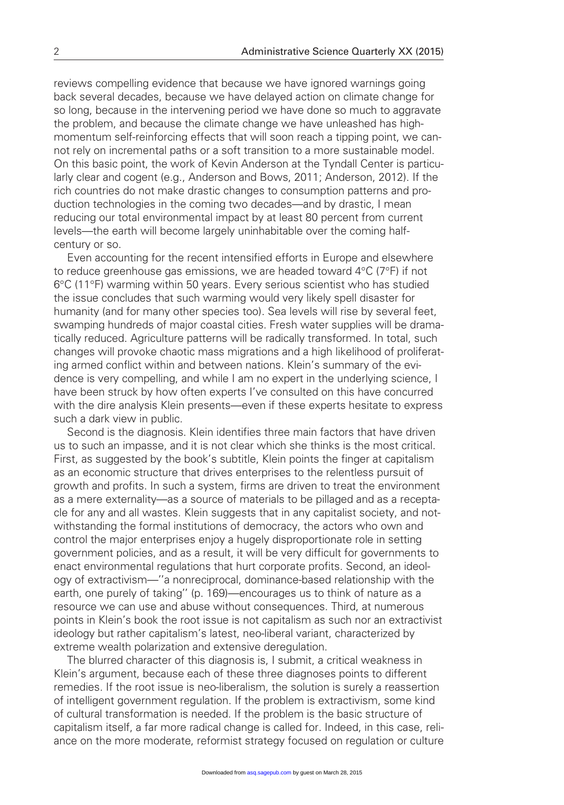reviews compelling evidence that because we have ignored warnings going back several decades, because we have delayed action on climate change for so long, because in the intervening period we have done so much to aggravate the problem, and because the climate change we have unleashed has highmomentum self-reinforcing effects that will soon reach a tipping point, we cannot rely on incremental paths or a soft transition to a more sustainable model. On this basic point, the work of Kevin Anderson at the Tyndall Center is particularly clear and cogent (e.g., Anderson and Bows, 2011; Anderson, 2012). If the rich countries do not make drastic changes to consumption patterns and production technologies in the coming two decades—and by drastic, I mean reducing our total environmental impact by at least 80 percent from current levels—the earth will become largely uninhabitable over the coming halfcentury or so.

Even accounting for the recent intensified efforts in Europe and elsewhere to reduce greenhouse gas emissions, we are headed toward  $4^{\circ}C$  (7 $^{\circ}F$ ) if not 6°C (11°F) warming within 50 years. Every serious scientist who has studied the issue concludes that such warming would very likely spell disaster for humanity (and for many other species too). Sea levels will rise by several feet, swamping hundreds of major coastal cities. Fresh water supplies will be dramatically reduced. Agriculture patterns will be radically transformed. In total, such changes will provoke chaotic mass migrations and a high likelihood of proliferating armed conflict within and between nations. Klein's summary of the evidence is very compelling, and while I am no expert in the underlying science, I have been struck by how often experts I've consulted on this have concurred with the dire analysis Klein presents—even if these experts hesitate to express such a dark view in public.

Second is the diagnosis. Klein identifies three main factors that have driven us to such an impasse, and it is not clear which she thinks is the most critical. First, as suggested by the book's subtitle, Klein points the finger at capitalism as an economic structure that drives enterprises to the relentless pursuit of growth and profits. In such a system, firms are driven to treat the environment as a mere externality—as a source of materials to be pillaged and as a receptacle for any and all wastes. Klein suggests that in any capitalist society, and notwithstanding the formal institutions of democracy, the actors who own and control the major enterprises enjoy a hugely disproportionate role in setting government policies, and as a result, it will be very difficult for governments to enact environmental regulations that hurt corporate profits. Second, an ideology of extractivism—''a nonreciprocal, dominance-based relationship with the earth, one purely of taking'' (p. 169)—encourages us to think of nature as a resource we can use and abuse without consequences. Third, at numerous points in Klein's book the root issue is not capitalism as such nor an extractivist ideology but rather capitalism's latest, neo-liberal variant, characterized by extreme wealth polarization and extensive deregulation.

The blurred character of this diagnosis is, I submit, a critical weakness in Klein's argument, because each of these three diagnoses points to different remedies. If the root issue is neo-liberalism, the solution is surely a reassertion of intelligent government regulation. If the problem is extractivism, some kind of cultural transformation is needed. If the problem is the basic structure of capitalism itself, a far more radical change is called for. Indeed, in this case, reliance on the more moderate, reformist strategy focused on regulation or culture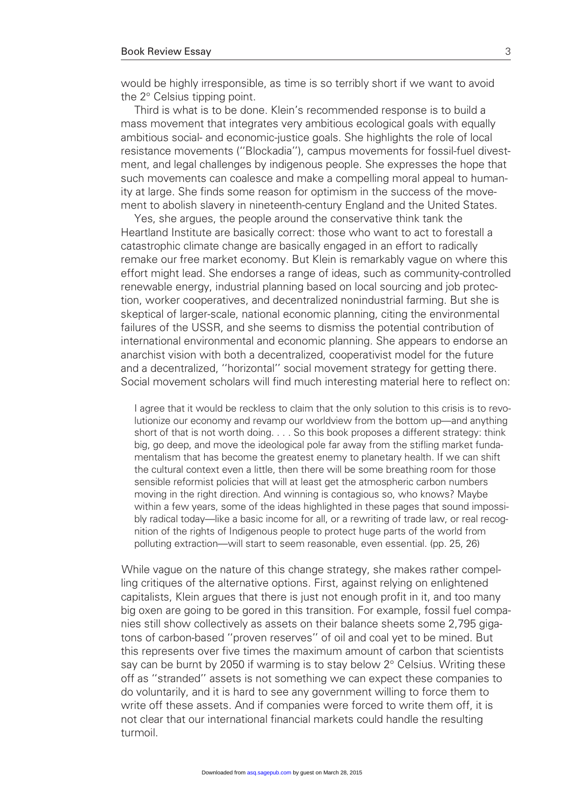would be highly irresponsible, as time is so terribly short if we want to avoid the  $2^\circ$  Celsius tipping point.

Third is what is to be done. Klein's recommended response is to build a mass movement that integrates very ambitious ecological goals with equally ambitious social- and economic-justice goals. She highlights the role of local resistance movements (''Blockadia''), campus movements for fossil-fuel divestment, and legal challenges by indigenous people. She expresses the hope that such movements can coalesce and make a compelling moral appeal to humanity at large. She finds some reason for optimism in the success of the movement to abolish slavery in nineteenth-century England and the United States.

Yes, she argues, the people around the conservative think tank the Heartland Institute are basically correct: those who want to act to forestall a catastrophic climate change are basically engaged in an effort to radically remake our free market economy. But Klein is remarkably vague on where this effort might lead. She endorses a range of ideas, such as community-controlled renewable energy, industrial planning based on local sourcing and job protection, worker cooperatives, and decentralized nonindustrial farming. But she is skeptical of larger-scale, national economic planning, citing the environmental failures of the USSR, and she seems to dismiss the potential contribution of international environmental and economic planning. She appears to endorse an anarchist vision with both a decentralized, cooperativist model for the future and a decentralized, ''horizontal'' social movement strategy for getting there. Social movement scholars will find much interesting material here to reflect on:

I agree that it would be reckless to claim that the only solution to this crisis is to revolutionize our economy and revamp our worldview from the bottom up—and anything short of that is not worth doing. . . . So this book proposes a different strategy: think big, go deep, and move the ideological pole far away from the stifling market fundamentalism that has become the greatest enemy to planetary health. If we can shift the cultural context even a little, then there will be some breathing room for those sensible reformist policies that will at least get the atmospheric carbon numbers moving in the right direction. And winning is contagious so, who knows? Maybe within a few years, some of the ideas highlighted in these pages that sound impossibly radical today—like a basic income for all, or a rewriting of trade law, or real recognition of the rights of Indigenous people to protect huge parts of the world from polluting extraction—will start to seem reasonable, even essential. (pp. 25, 26)

While vague on the nature of this change strategy, she makes rather compelling critiques of the alternative options. First, against relying on enlightened capitalists, Klein argues that there is just not enough profit in it, and too many big oxen are going to be gored in this transition. For example, fossil fuel companies still show collectively as assets on their balance sheets some 2,795 gigatons of carbon-based ''proven reserves'' of oil and coal yet to be mined. But this represents over five times the maximum amount of carbon that scientists say can be burnt by 2050 if warming is to stay below  $2^\circ$  Celsius. Writing these off as ''stranded'' assets is not something we can expect these companies to do voluntarily, and it is hard to see any government willing to force them to write off these assets. And if companies were forced to write them off, it is not clear that our international financial markets could handle the resulting turmoil.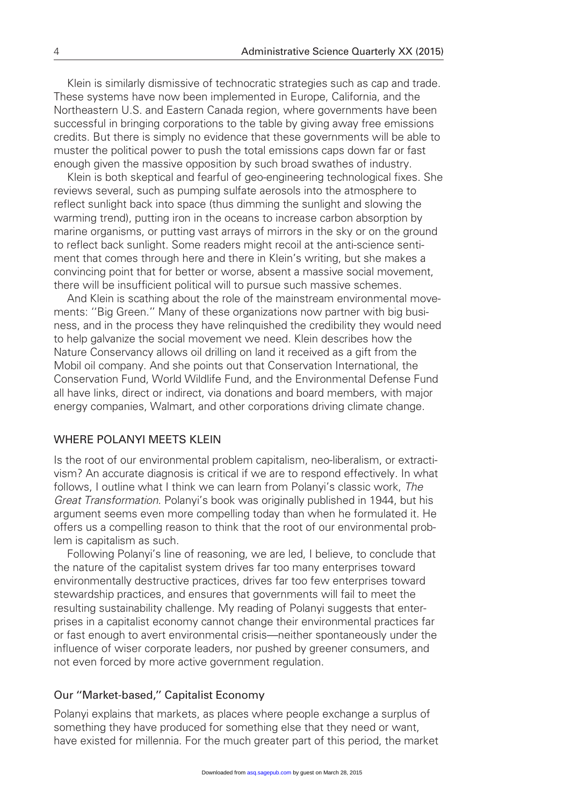Klein is similarly dismissive of technocratic strategies such as cap and trade. These systems have now been implemented in Europe, California, and the Northeastern U.S. and Eastern Canada region, where governments have been successful in bringing corporations to the table by giving away free emissions credits. But there is simply no evidence that these governments will be able to muster the political power to push the total emissions caps down far or fast enough given the massive opposition by such broad swathes of industry.

Klein is both skeptical and fearful of geo-engineering technological fixes. She reviews several, such as pumping sulfate aerosols into the atmosphere to reflect sunlight back into space (thus dimming the sunlight and slowing the warming trend), putting iron in the oceans to increase carbon absorption by marine organisms, or putting vast arrays of mirrors in the sky or on the ground to reflect back sunlight. Some readers might recoil at the anti-science sentiment that comes through here and there in Klein's writing, but she makes a convincing point that for better or worse, absent a massive social movement, there will be insufficient political will to pursue such massive schemes.

And Klein is scathing about the role of the mainstream environmental movements: ''Big Green.'' Many of these organizations now partner with big business, and in the process they have relinquished the credibility they would need to help galvanize the social movement we need. Klein describes how the Nature Conservancy allows oil drilling on land it received as a gift from the Mobil oil company. And she points out that Conservation International, the Conservation Fund, World Wildlife Fund, and the Environmental Defense Fund all have links, direct or indirect, via donations and board members, with major energy companies, Walmart, and other corporations driving climate change.

## WHERE POLANYI MEETS KLEIN

Is the root of our environmental problem capitalism, neo-liberalism, or extractivism? An accurate diagnosis is critical if we are to respond effectively. In what follows, I outline what I think we can learn from Polanyi's classic work, The Great Transformation. Polanyi's book was originally published in 1944, but his argument seems even more compelling today than when he formulated it. He offers us a compelling reason to think that the root of our environmental problem is capitalism as such.

Following Polanyi's line of reasoning, we are led, I believe, to conclude that the nature of the capitalist system drives far too many enterprises toward environmentally destructive practices, drives far too few enterprises toward stewardship practices, and ensures that governments will fail to meet the resulting sustainability challenge. My reading of Polanyi suggests that enterprises in a capitalist economy cannot change their environmental practices far or fast enough to avert environmental crisis—neither spontaneously under the influence of wiser corporate leaders, nor pushed by greener consumers, and not even forced by more active government regulation.

### Our ''Market-based,'' Capitalist Economy

Polanyi explains that markets, as places where people exchange a surplus of something they have produced for something else that they need or want, have existed for millennia. For the much greater part of this period, the market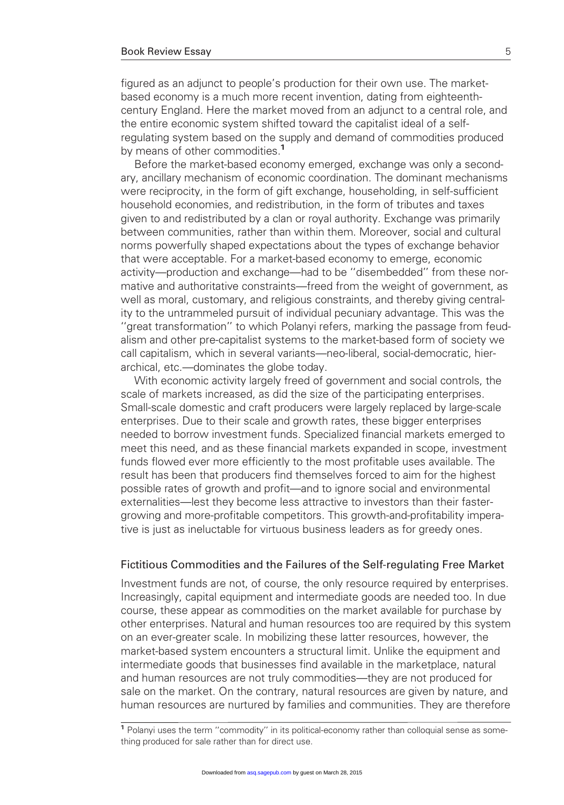figured as an adjunct to people's production for their own use. The marketbased economy is a much more recent invention, dating from eighteenthcentury England. Here the market moved from an adjunct to a central role, and the entire economic system shifted toward the capitalist ideal of a selfregulating system based on the supply and demand of commodities produced by means of other commodities.<sup>1</sup>

Before the market-based economy emerged, exchange was only a secondary, ancillary mechanism of economic coordination. The dominant mechanisms were reciprocity, in the form of gift exchange, householding, in self-sufficient household economies, and redistribution, in the form of tributes and taxes given to and redistributed by a clan or royal authority. Exchange was primarily between communities, rather than within them. Moreover, social and cultural norms powerfully shaped expectations about the types of exchange behavior that were acceptable. For a market-based economy to emerge, economic activity—production and exchange—had to be ''disembedded'' from these normative and authoritative constraints—freed from the weight of government, as well as moral, customary, and religious constraints, and thereby giving centrality to the untrammeled pursuit of individual pecuniary advantage. This was the ''great transformation'' to which Polanyi refers, marking the passage from feudalism and other pre-capitalist systems to the market-based form of society we call capitalism, which in several variants—neo-liberal, social-democratic, hierarchical, etc.—dominates the globe today.

With economic activity largely freed of government and social controls, the scale of markets increased, as did the size of the participating enterprises. Small-scale domestic and craft producers were largely replaced by large-scale enterprises. Due to their scale and growth rates, these bigger enterprises needed to borrow investment funds. Specialized financial markets emerged to meet this need, and as these financial markets expanded in scope, investment funds flowed ever more efficiently to the most profitable uses available. The result has been that producers find themselves forced to aim for the highest possible rates of growth and profit—and to ignore social and environmental externalities—lest they become less attractive to investors than their fastergrowing and more-profitable competitors. This growth-and-profitability imperative is just as ineluctable for virtuous business leaders as for greedy ones.

### Fictitious Commodities and the Failures of the Self-regulating Free Market

Investment funds are not, of course, the only resource required by enterprises. Increasingly, capital equipment and intermediate goods are needed too. In due course, these appear as commodities on the market available for purchase by other enterprises. Natural and human resources too are required by this system on an ever-greater scale. In mobilizing these latter resources, however, the market-based system encounters a structural limit. Unlike the equipment and intermediate goods that businesses find available in the marketplace, natural and human resources are not truly commodities—they are not produced for sale on the market. On the contrary, natural resources are given by nature, and human resources are nurtured by families and communities. They are therefore

<sup>&</sup>lt;sup>1</sup> Polanyi uses the term "commodity" in its political-economy rather than colloquial sense as something produced for sale rather than for direct use.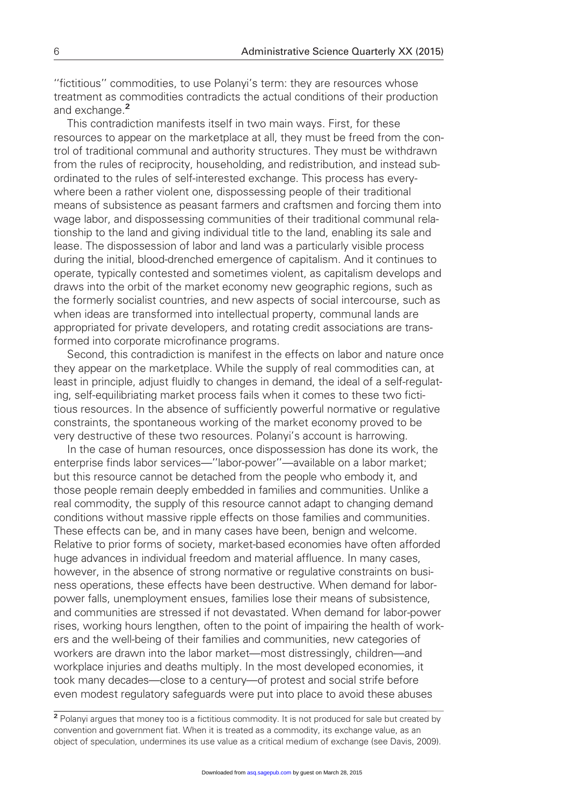''fictitious'' commodities, to use Polanyi's term: they are resources whose treatment as commodities contradicts the actual conditions of their production and exchange.<sup>2</sup>

This contradiction manifests itself in two main ways. First, for these resources to appear on the marketplace at all, they must be freed from the control of traditional communal and authority structures. They must be withdrawn from the rules of reciprocity, householding, and redistribution, and instead subordinated to the rules of self-interested exchange. This process has everywhere been a rather violent one, dispossessing people of their traditional means of subsistence as peasant farmers and craftsmen and forcing them into wage labor, and dispossessing communities of their traditional communal relationship to the land and giving individual title to the land, enabling its sale and lease. The dispossession of labor and land was a particularly visible process during the initial, blood-drenched emergence of capitalism. And it continues to operate, typically contested and sometimes violent, as capitalism develops and draws into the orbit of the market economy new geographic regions, such as the formerly socialist countries, and new aspects of social intercourse, such as when ideas are transformed into intellectual property, communal lands are appropriated for private developers, and rotating credit associations are transformed into corporate microfinance programs.

Second, this contradiction is manifest in the effects on labor and nature once they appear on the marketplace. While the supply of real commodities can, at least in principle, adjust fluidly to changes in demand, the ideal of a self-regulating, self-equilibriating market process fails when it comes to these two fictitious resources. In the absence of sufficiently powerful normative or regulative constraints, the spontaneous working of the market economy proved to be very destructive of these two resources. Polanyi's account is harrowing.

In the case of human resources, once dispossession has done its work, the enterprise finds labor services—''labor-power''—available on a labor market; but this resource cannot be detached from the people who embody it, and those people remain deeply embedded in families and communities. Unlike a real commodity, the supply of this resource cannot adapt to changing demand conditions without massive ripple effects on those families and communities. These effects can be, and in many cases have been, benign and welcome. Relative to prior forms of society, market-based economies have often afforded huge advances in individual freedom and material affluence. In many cases, however, in the absence of strong normative or regulative constraints on business operations, these effects have been destructive. When demand for laborpower falls, unemployment ensues, families lose their means of subsistence, and communities are stressed if not devastated. When demand for labor-power rises, working hours lengthen, often to the point of impairing the health of workers and the well-being of their families and communities, new categories of workers are drawn into the labor market—most distressingly, children—and workplace injuries and deaths multiply. In the most developed economies, it took many decades—close to a century—of protest and social strife before even modest regulatory safeguards were put into place to avoid these abuses

<sup>2</sup> Polanyi argues that money too is a fictitious commodity. It is not produced for sale but created by convention and government fiat. When it is treated as a commodity, its exchange value, as an object of speculation, undermines its use value as a critical medium of exchange (see Davis, 2009).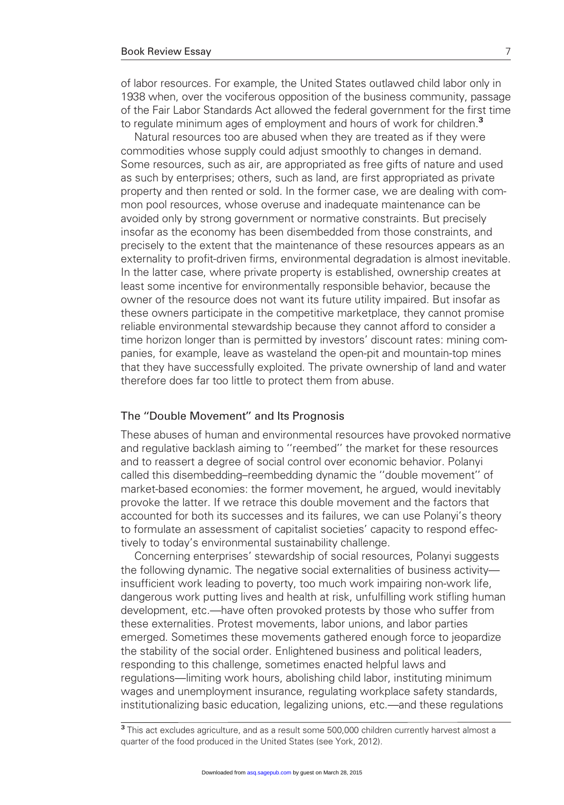of labor resources. For example, the United States outlawed child labor only in 1938 when, over the vociferous opposition of the business community, passage of the Fair Labor Standards Act allowed the federal government for the first time to regulate minimum ages of employment and hours of work for children.<sup>3</sup>

Natural resources too are abused when they are treated as if they were commodities whose supply could adjust smoothly to changes in demand. Some resources, such as air, are appropriated as free gifts of nature and used as such by enterprises; others, such as land, are first appropriated as private property and then rented or sold. In the former case, we are dealing with common pool resources, whose overuse and inadequate maintenance can be avoided only by strong government or normative constraints. But precisely insofar as the economy has been disembedded from those constraints, and precisely to the extent that the maintenance of these resources appears as an externality to profit-driven firms, environmental degradation is almost inevitable. In the latter case, where private property is established, ownership creates at least some incentive for environmentally responsible behavior, because the owner of the resource does not want its future utility impaired. But insofar as these owners participate in the competitive marketplace, they cannot promise reliable environmental stewardship because they cannot afford to consider a time horizon longer than is permitted by investors' discount rates: mining companies, for example, leave as wasteland the open-pit and mountain-top mines that they have successfully exploited. The private ownership of land and water therefore does far too little to protect them from abuse.

## The ''Double Movement'' and Its Prognosis

These abuses of human and environmental resources have provoked normative and regulative backlash aiming to ''reembed'' the market for these resources and to reassert a degree of social control over economic behavior. Polanyi called this disembedding–reembedding dynamic the ''double movement'' of market-based economies: the former movement, he argued, would inevitably provoke the latter. If we retrace this double movement and the factors that accounted for both its successes and its failures, we can use Polanyi's theory to formulate an assessment of capitalist societies' capacity to respond effectively to today's environmental sustainability challenge.

Concerning enterprises' stewardship of social resources, Polanyi suggests the following dynamic. The negative social externalities of business activity insufficient work leading to poverty, too much work impairing non-work life, dangerous work putting lives and health at risk, unfulfilling work stifling human development, etc.—have often provoked protests by those who suffer from these externalities. Protest movements, labor unions, and labor parties emerged. Sometimes these movements gathered enough force to jeopardize the stability of the social order. Enlightened business and political leaders, responding to this challenge, sometimes enacted helpful laws and regulations—limiting work hours, abolishing child labor, instituting minimum wages and unemployment insurance, regulating workplace safety standards, institutionalizing basic education, legalizing unions, etc.—and these regulations

<sup>&</sup>lt;sup>3</sup> This act excludes agriculture, and as a result some 500,000 children currently harvest almost a quarter of the food produced in the United States (see York, 2012).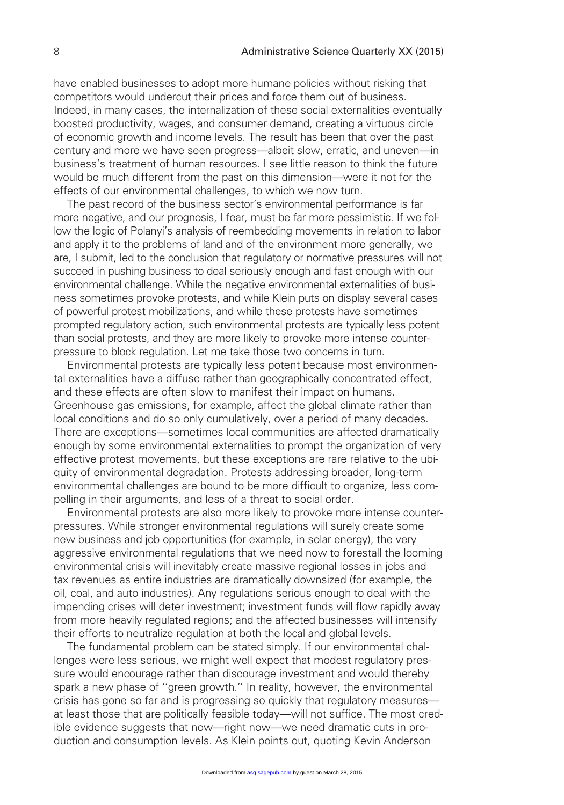have enabled businesses to adopt more humane policies without risking that competitors would undercut their prices and force them out of business. Indeed, in many cases, the internalization of these social externalities eventually boosted productivity, wages, and consumer demand, creating a virtuous circle of economic growth and income levels. The result has been that over the past century and more we have seen progress—albeit slow, erratic, and uneven—in business's treatment of human resources. I see little reason to think the future would be much different from the past on this dimension—were it not for the effects of our environmental challenges, to which we now turn.

The past record of the business sector's environmental performance is far more negative, and our prognosis, I fear, must be far more pessimistic. If we follow the logic of Polanyi's analysis of reembedding movements in relation to labor and apply it to the problems of land and of the environment more generally, we are, I submit, led to the conclusion that regulatory or normative pressures will not succeed in pushing business to deal seriously enough and fast enough with our environmental challenge. While the negative environmental externalities of business sometimes provoke protests, and while Klein puts on display several cases of powerful protest mobilizations, and while these protests have sometimes prompted regulatory action, such environmental protests are typically less potent than social protests, and they are more likely to provoke more intense counterpressure to block regulation. Let me take those two concerns in turn.

Environmental protests are typically less potent because most environmental externalities have a diffuse rather than geographically concentrated effect, and these effects are often slow to manifest their impact on humans. Greenhouse gas emissions, for example, affect the global climate rather than local conditions and do so only cumulatively, over a period of many decades. There are exceptions—sometimes local communities are affected dramatically enough by some environmental externalities to prompt the organization of very effective protest movements, but these exceptions are rare relative to the ubiquity of environmental degradation. Protests addressing broader, long-term environmental challenges are bound to be more difficult to organize, less compelling in their arguments, and less of a threat to social order.

Environmental protests are also more likely to provoke more intense counterpressures. While stronger environmental regulations will surely create some new business and job opportunities (for example, in solar energy), the very aggressive environmental regulations that we need now to forestall the looming environmental crisis will inevitably create massive regional losses in jobs and tax revenues as entire industries are dramatically downsized (for example, the oil, coal, and auto industries). Any regulations serious enough to deal with the impending crises will deter investment; investment funds will flow rapidly away from more heavily regulated regions; and the affected businesses will intensify their efforts to neutralize regulation at both the local and global levels.

The fundamental problem can be stated simply. If our environmental challenges were less serious, we might well expect that modest regulatory pressure would encourage rather than discourage investment and would thereby spark a new phase of ''green growth.'' In reality, however, the environmental crisis has gone so far and is progressing so quickly that regulatory measures at least those that are politically feasible today—will not suffice. The most credible evidence suggests that now—right now—we need dramatic cuts in production and consumption levels. As Klein points out, quoting Kevin Anderson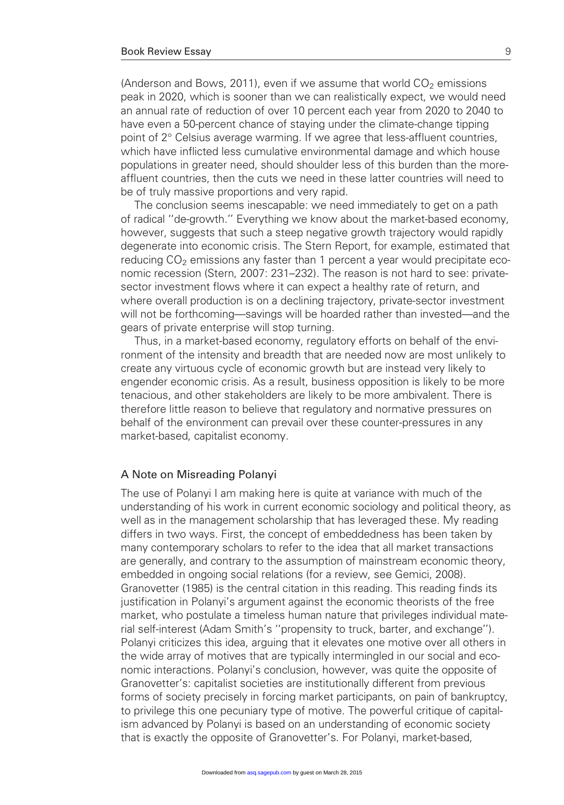(Anderson and Bows, 2011), even if we assume that world  $CO<sub>2</sub>$  emissions peak in 2020, which is sooner than we can realistically expect, we would need an annual rate of reduction of over 10 percent each year from 2020 to 2040 to have even a 50-percent chance of staying under the climate-change tipping point of  $2^{\circ}$  Celsius average warming. If we agree that less-affluent countries, which have inflicted less cumulative environmental damage and which house populations in greater need, should shoulder less of this burden than the moreaffluent countries, then the cuts we need in these latter countries will need to be of truly massive proportions and very rapid.

The conclusion seems inescapable: we need immediately to get on a path of radical ''de-growth.'' Everything we know about the market-based economy, however, suggests that such a steep negative growth trajectory would rapidly degenerate into economic crisis. The Stern Report, for example, estimated that reducing  $CO<sub>2</sub>$  emissions any faster than 1 percent a year would precipitate economic recession (Stern, 2007: 231–232). The reason is not hard to see: privatesector investment flows where it can expect a healthy rate of return, and where overall production is on a declining trajectory, private-sector investment will not be forthcoming—savings will be hoarded rather than invested—and the gears of private enterprise will stop turning.

Thus, in a market-based economy, regulatory efforts on behalf of the environment of the intensity and breadth that are needed now are most unlikely to create any virtuous cycle of economic growth but are instead very likely to engender economic crisis. As a result, business opposition is likely to be more tenacious, and other stakeholders are likely to be more ambivalent. There is therefore little reason to believe that regulatory and normative pressures on behalf of the environment can prevail over these counter-pressures in any market-based, capitalist economy.

### A Note on Misreading Polanyi

The use of Polanyi I am making here is quite at variance with much of the understanding of his work in current economic sociology and political theory, as well as in the management scholarship that has leveraged these. My reading differs in two ways. First, the concept of embeddedness has been taken by many contemporary scholars to refer to the idea that all market transactions are generally, and contrary to the assumption of mainstream economic theory, embedded in ongoing social relations (for a review, see Gemici, 2008). Granovetter (1985) is the central citation in this reading. This reading finds its justification in Polanyi's argument against the economic theorists of the free market, who postulate a timeless human nature that privileges individual material self-interest (Adam Smith's ''propensity to truck, barter, and exchange''). Polanyi criticizes this idea, arguing that it elevates one motive over all others in the wide array of motives that are typically intermingled in our social and economic interactions. Polanyi's conclusion, however, was quite the opposite of Granovetter's: capitalist societies are institutionally different from previous forms of society precisely in forcing market participants, on pain of bankruptcy, to privilege this one pecuniary type of motive. The powerful critique of capitalism advanced by Polanyi is based on an understanding of economic society that is exactly the opposite of Granovetter's. For Polanyi, market-based,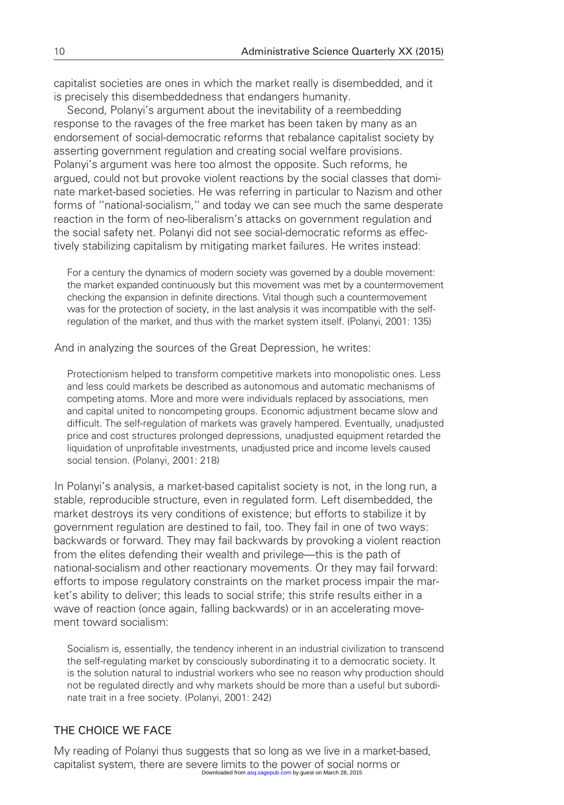capitalist societies are ones in which the market really is disembedded, and it is precisely this disembeddedness that endangers humanity.

Second, Polanyi's argument about the inevitability of a reembedding response to the ravages of the free market has been taken by many as an endorsement of social-democratic reforms that rebalance capitalist society by asserting government regulation and creating social welfare provisions. Polanyi's argument was here too almost the opposite. Such reforms, he argued, could not but provoke violent reactions by the social classes that dominate market-based societies. He was referring in particular to Nazism and other forms of ''national-socialism,'' and today we can see much the same desperate reaction in the form of neo-liberalism's attacks on government regulation and the social safety net. Polanyi did not see social-democratic reforms as effectively stabilizing capitalism by mitigating market failures. He writes instead:

For a century the dynamics of modern society was governed by a double movement: the market expanded continuously but this movement was met by a countermovement checking the expansion in definite directions. Vital though such a countermovement was for the protection of society, in the last analysis it was incompatible with the selfregulation of the market, and thus with the market system itself. (Polanyi, 2001: 135)

And in analyzing the sources of the Great Depression, he writes:

Protectionism helped to transform competitive markets into monopolistic ones. Less and less could markets be described as autonomous and automatic mechanisms of competing atoms. More and more were individuals replaced by associations, men and capital united to noncompeting groups. Economic adjustment became slow and difficult. The self-regulation of markets was gravely hampered. Eventually, unadjusted price and cost structures prolonged depressions, unadjusted equipment retarded the liquidation of unprofitable investments, unadjusted price and income levels caused social tension. (Polanyi, 2001: 218)

In Polanyi's analysis, a market-based capitalist society is not, in the long run, a stable, reproducible structure, even in regulated form. Left disembedded, the market destroys its very conditions of existence; but efforts to stabilize it by government regulation are destined to fail, too. They fail in one of two ways: backwards or forward. They may fail backwards by provoking a violent reaction from the elites defending their wealth and privilege—this is the path of national-socialism and other reactionary movements. Or they may fail forward: efforts to impose regulatory constraints on the market process impair the market's ability to deliver; this leads to social strife; this strife results either in a wave of reaction (once again, falling backwards) or in an accelerating movement toward socialism:

Socialism is, essentially, the tendency inherent in an industrial civilization to transcend the self-regulating market by consciously subordinating it to a democratic society. It is the solution natural to industrial workers who see no reason why production should not be regulated directly and why markets should be more than a useful but subordinate trait in a free society. (Polanyi, 2001: 242)

# THE CHOICE WE FACE

My reading of Polanyi thus suggests that so long as we live in a market-based, capitalist system, there are severe limits to the power of social norms or Downloaded from [asq.sagepub.com](http://asq.sagepub.com/) by quest on March 28, 2015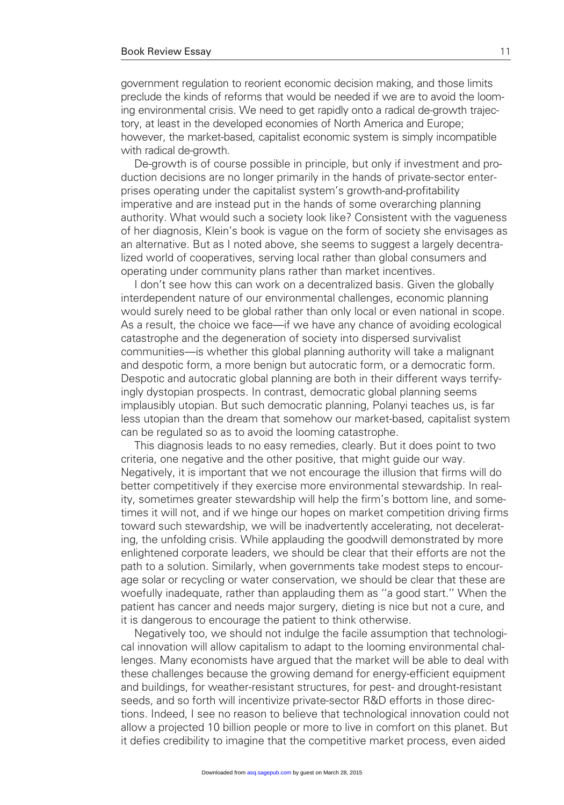government regulation to reorient economic decision making, and those limits preclude the kinds of reforms that would be needed if we are to avoid the looming environmental crisis. We need to get rapidly onto a radical de-growth trajectory, at least in the developed economies of North America and Europe; however, the market-based, capitalist economic system is simply incompatible with radical de-growth.

De-growth is of course possible in principle, but only if investment and production decisions are no longer primarily in the hands of private-sector enterprises operating under the capitalist system's growth-and-profitability imperative and are instead put in the hands of some overarching planning authority. What would such a society look like? Consistent with the vagueness of her diagnosis, Klein's book is vague on the form of society she envisages as an alternative. But as I noted above, she seems to suggest a largely decentralized world of cooperatives, serving local rather than global consumers and operating under community plans rather than market incentives.

I don't see how this can work on a decentralized basis. Given the globally interdependent nature of our environmental challenges, economic planning would surely need to be global rather than only local or even national in scope. As a result, the choice we face—if we have any chance of avoiding ecological catastrophe and the degeneration of society into dispersed survivalist communities—is whether this global planning authority will take a malignant and despotic form, a more benign but autocratic form, or a democratic form. Despotic and autocratic global planning are both in their different ways terrifyingly dystopian prospects. In contrast, democratic global planning seems implausibly utopian. But such democratic planning, Polanyi teaches us, is far less utopian than the dream that somehow our market-based, capitalist system can be regulated so as to avoid the looming catastrophe.

This diagnosis leads to no easy remedies, clearly. But it does point to two criteria, one negative and the other positive, that might guide our way. Negatively, it is important that we not encourage the illusion that firms will do better competitively if they exercise more environmental stewardship. In reality, sometimes greater stewardship will help the firm's bottom line, and sometimes it will not, and if we hinge our hopes on market competition driving firms toward such stewardship, we will be inadvertently accelerating, not decelerating, the unfolding crisis. While applauding the goodwill demonstrated by more enlightened corporate leaders, we should be clear that their efforts are not the path to a solution. Similarly, when governments take modest steps to encourage solar or recycling or water conservation, we should be clear that these are woefully inadequate, rather than applauding them as ''a good start.'' When the patient has cancer and needs major surgery, dieting is nice but not a cure, and it is dangerous to encourage the patient to think otherwise.

Negatively too, we should not indulge the facile assumption that technological innovation will allow capitalism to adapt to the looming environmental challenges. Many economists have argued that the market will be able to deal with these challenges because the growing demand for energy-efficient equipment and buildings, for weather-resistant structures, for pest- and drought-resistant seeds, and so forth will incentivize private-sector R&D efforts in those directions. Indeed, I see no reason to believe that technological innovation could not allow a projected 10 billion people or more to live in comfort on this planet. But it defies credibility to imagine that the competitive market process, even aided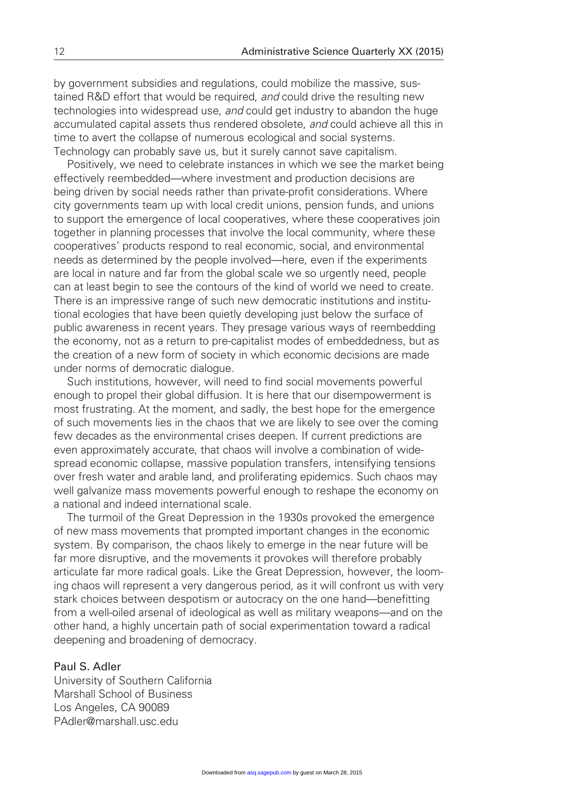by government subsidies and regulations, could mobilize the massive, sustained R&D effort that would be required, and could drive the resulting new technologies into widespread use, and could get industry to abandon the huge accumulated capital assets thus rendered obsolete, and could achieve all this in time to avert the collapse of numerous ecological and social systems. Technology can probably save us, but it surely cannot save capitalism.

Positively, we need to celebrate instances in which we see the market being effectively reembedded—where investment and production decisions are being driven by social needs rather than private-profit considerations. Where city governments team up with local credit unions, pension funds, and unions to support the emergence of local cooperatives, where these cooperatives join together in planning processes that involve the local community, where these cooperatives' products respond to real economic, social, and environmental needs as determined by the people involved—here, even if the experiments are local in nature and far from the global scale we so urgently need, people can at least begin to see the contours of the kind of world we need to create. There is an impressive range of such new democratic institutions and institutional ecologies that have been quietly developing just below the surface of public awareness in recent years. They presage various ways of reembedding the economy, not as a return to pre-capitalist modes of embeddedness, but as the creation of a new form of society in which economic decisions are made under norms of democratic dialogue.

Such institutions, however, will need to find social movements powerful enough to propel their global diffusion. It is here that our disempowerment is most frustrating. At the moment, and sadly, the best hope for the emergence of such movements lies in the chaos that we are likely to see over the coming few decades as the environmental crises deepen. If current predictions are even approximately accurate, that chaos will involve a combination of widespread economic collapse, massive population transfers, intensifying tensions over fresh water and arable land, and proliferating epidemics. Such chaos may well galvanize mass movements powerful enough to reshape the economy on a national and indeed international scale.

The turmoil of the Great Depression in the 1930s provoked the emergence of new mass movements that prompted important changes in the economic system. By comparison, the chaos likely to emerge in the near future will be far more disruptive, and the movements it provokes will therefore probably articulate far more radical goals. Like the Great Depression, however, the looming chaos will represent a very dangerous period, as it will confront us with very stark choices between despotism or autocracy on the one hand—benefitting from a well-oiled arsenal of ideological as well as military weapons—and on the other hand, a highly uncertain path of social experimentation toward a radical deepening and broadening of democracy.

## Paul S. Adler

University of Southern California Marshall School of Business Los Angeles, CA 90089 PAdler@marshall.usc.edu